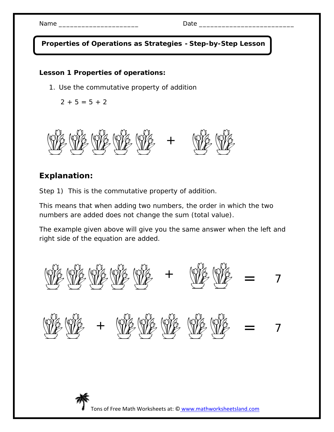**Properties of Operations as Strategies - Step-by-Step Lesson**

## **Lesson 1 Properties of operations:**

1. Use the commutative property of addition

 $2 + 5 = 5 + 2$ 



## **Explanation:**

Step 1)This is the commutative property of addition.

This means that when adding two numbers, the order in which the two numbers are added does not change the sum (total value).

The example given above will give you the same answer when the left and right side of the equation are added.



Tons of Free Math Worksheets at: © www.mathworksheetsland.com